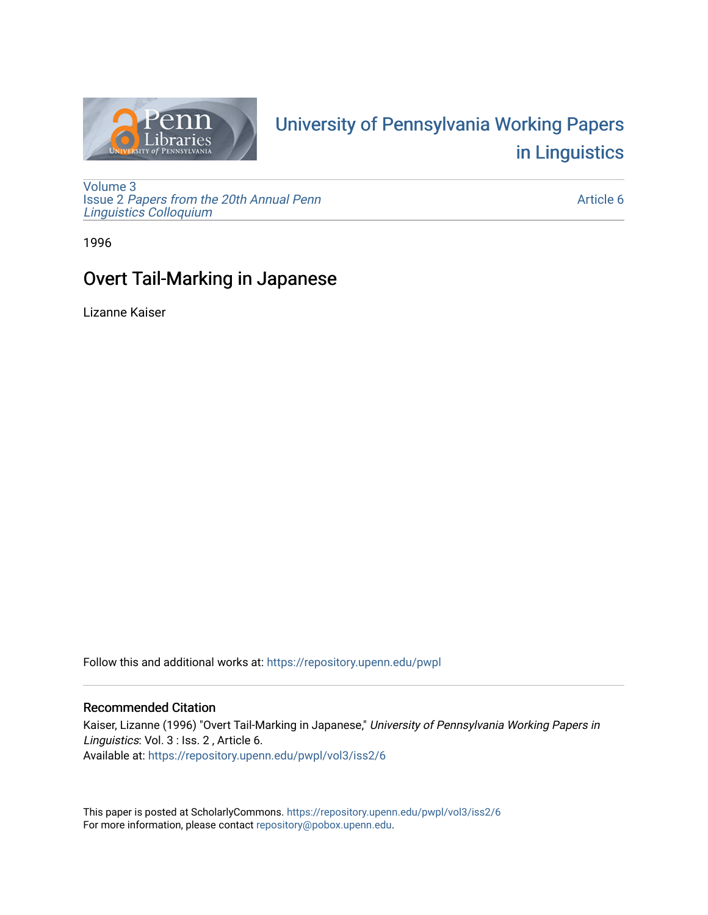

# University of P[ennsylvania Working P](https://repository.upenn.edu/pwpl)apers [in Linguistics](https://repository.upenn.edu/pwpl)

[Volume 3](https://repository.upenn.edu/pwpl/vol3) Issue 2 [Papers from the 20th Annual Penn](https://repository.upenn.edu/pwpl/vol3/iss2) [Linguistics Colloquium](https://repository.upenn.edu/pwpl/vol3/iss2)

[Article 6](https://repository.upenn.edu/pwpl/vol3/iss2/6) 

1996

# Overt Tail-Marking in Japanese

Lizanne Kaiser

Follow this and additional works at: [https://repository.upenn.edu/pwpl](https://repository.upenn.edu/pwpl?utm_source=repository.upenn.edu%2Fpwpl%2Fvol3%2Fiss2%2F6&utm_medium=PDF&utm_campaign=PDFCoverPages) 

# Recommended Citation

Kaiser, Lizanne (1996) "Overt Tail-Marking in Japanese," University of Pennsylvania Working Papers in Linguistics: Vol. 3 : Iss. 2, Article 6. Available at: [https://repository.upenn.edu/pwpl/vol3/iss2/6](https://repository.upenn.edu/pwpl/vol3/iss2/6?utm_source=repository.upenn.edu%2Fpwpl%2Fvol3%2Fiss2%2F6&utm_medium=PDF&utm_campaign=PDFCoverPages) 

This paper is posted at ScholarlyCommons.<https://repository.upenn.edu/pwpl/vol3/iss2/6> For more information, please contact [repository@pobox.upenn.edu.](mailto:repository@pobox.upenn.edu)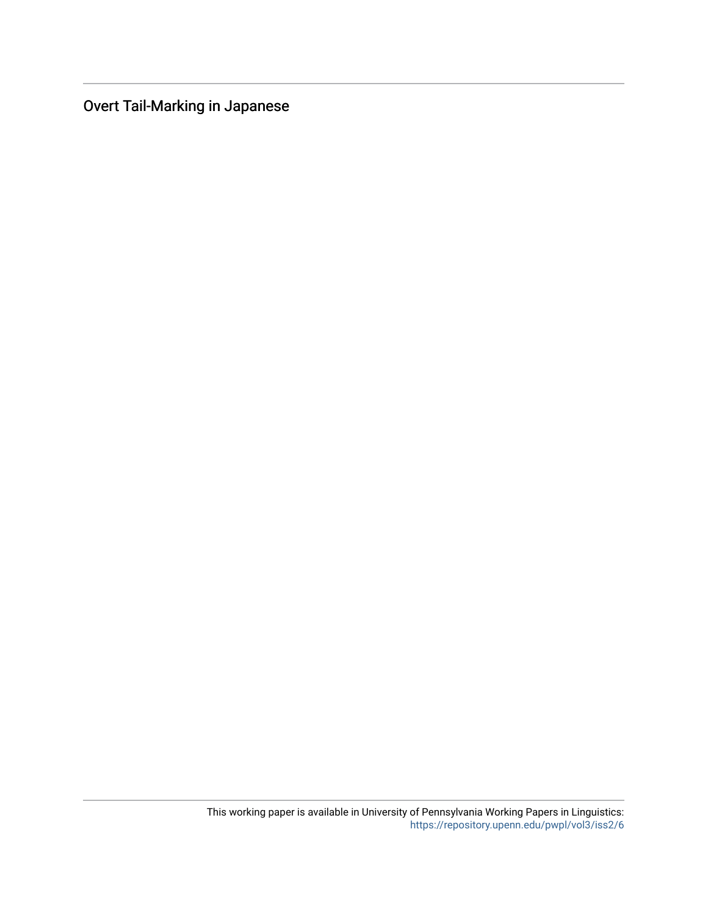Overt Tail-Marking in Japanese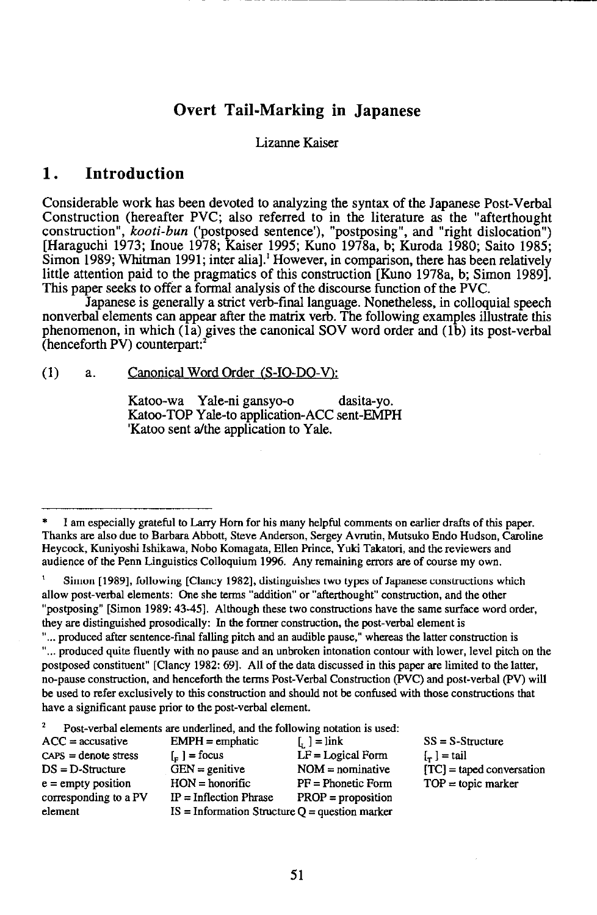# **Overt Tail-Marking in Japanese**

#### Lizanne Kaiser

#### **1. Introduction**

Considerable work has been devoted to analyzing the syntax of the Japanese Post-Verbal Construction (hereafter PVC; also referred to in the literature as the "afterthought construction", *kooti-bun* ('postposed sentence'), "postposing", and "right dislocation") [Haraguchi 1973; Inoue 1978; Kaiser 1995; Kuno 1978a, b; Kuroda 1980; Saito 1985; Simon 1989; Whitman 1991; inter alia].<sup>1</sup> However, in comparison, there has been relatively little attention paid to the pragmatics of this construction [Kuno 1978a, b; Simon 1989]. This paper seeks to offer a formal analysis of the discourse function of the PVC.

Japanese is generally a strict verb-final language. Nonetheless, in colloquial speech nonverbal elements can appear after the matrix verb. The following examples illustrate this phenomenon, in which  $(\overline{1a})$  gives the canonical SOV word order and  $(1\overline{b})$  its post-verbal (henceforth PV) counterpart:'

#### (1) a. Canonical Word Order (S-10-DO-V):

Katoo-wa Yale-ni gansyo-o dasita-yo. Katoo-TOP Yale-to application-ACC sent-EMPH 'Katoo sent a/the application to Yale.

Simon [1989], following [Clancy 1982], distinguishes two types of Japanese constructions which allow post-verbal elements: One she terms "addition" or "afterthought" construction, and the other "postposing" [Simon 1989: 43-45]. Although these two constructions have the same surface word order, they are distinguished prosodically: In the former construction, the post-verbal element is

" ... produced after sentence-final falling pitch and an audible pause," whereas the latter construction is " ... produced quite fluently with no pause and an unbroken intonation contour with lower, level pitch on the postposed constituent" [Clancy 1982: 69]. All of the data discussed in this paper are limited to the latter, no-pause construction, and henceforth the terms Post-Verbal Construction (PVC) and post-verbal (PV) will be used to refer exclusively to this construction and should not be confused with those constructions that have a significant pause prior to the post-verbal element.

 $\overline{2}$ Post-verbal elements are underlined, and the following notation is used:

| $ACC = accuracy$       | $EMPH =$ emphatic                                | $\lceil$ , $\rceil$ = link | $SS = S-S$ tructure         |
|------------------------|--------------------------------------------------|----------------------------|-----------------------------|
| $CAPS = denote stress$ | $\lfloor_{\equiv}$ = focus                       | $LF = Logical Form$        | $\lfloor - \rfloor$ = tail  |
| $DS = D-Structure$     | $GEN =$ genitive                                 | $NOM =$ nominative         | $[TC]$ = taped conversation |
| $e =$ empty position   | $HON =$ honorific                                | $PF = Phonetic Form$       | $TOP = topic$ marker        |
| corresponding to a PV  | $IP = Inflection Phrase$                         | $PROP = proposition$       |                             |
| element                | $IS = Information Structure Q = question marker$ |                            |                             |

I am especially grateful to Larry Hom for his many helpful comments on earlier drafts of this paper. Thanks are also due to Barbara Abbott, Steve Anderson, Sergey A vrutin, Mutsuko Endo Hudson, Caroline Heycock, Kuniyoshi Ishikawa, Nobo Komagata, Ellen Prince, Yuki Takatori, and the reviewers and audience of the Penn Linguistics Colloquium 1996. Any remaining errors are of course my own.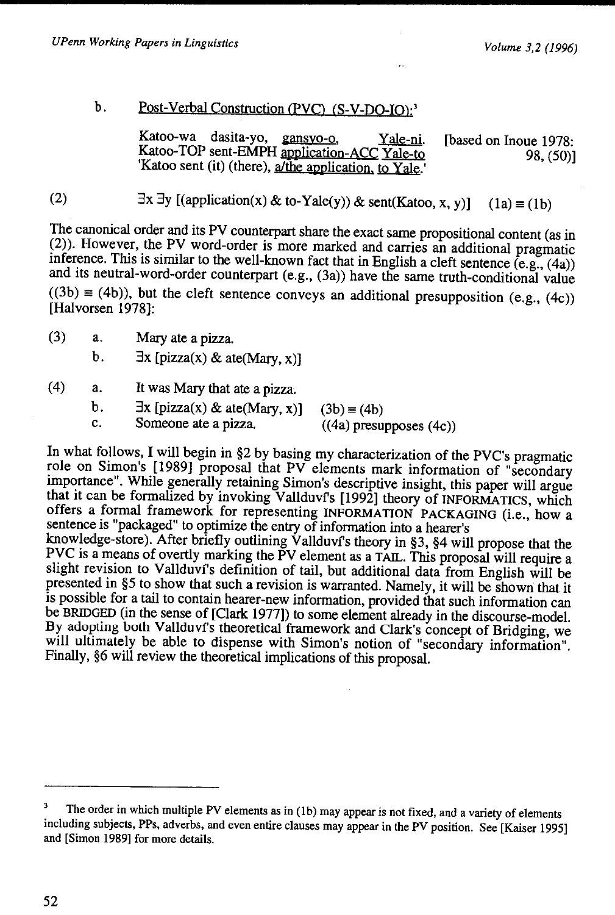#### b. Post-Verbal Construction (PVC) (S-V-DO-IO):<sup>3</sup>

Katoo-wa dasita-yo, gansyo-o, Yale-ni. Katoo-TOP sent-EMPH application-ACC Yale-to 'Katoo sent (it) (there),  $\frac{a}{i}$  the application, to Yale. [based on Inoue 1978: 98, (50)]

(2)  $\exists x \exists y \ [(\text{application}(x) \& \text{to-Yale}(y)) \& \text{sent}(Kat, x, y)]$  (1a) = (1b)

The canonical order and its PV counterpart share the exact same propositional content (as in (2)). However, the PV word-order is more marked and carries an additional pragmatic inference. This is similar to the well-known fact that in English a cleft sentence  $(e.g., (4a))$ and its neutral-word-order counterpart (e.g., (3a)) have the same truth-conditional value  $((3b) \equiv (4b))$ , but the cleft sentence conveys an additional presupposition (e.g., (4c)) [Halvorsen 1978]:

(3) a. Mary ate a pizza.

b.  $\exists x \, [\text{pizza}(x) \& \text{ate}(\text{Mary}, x)]$ 

- (4) a. It was Mary that ate a pizza.
	- b.  $\exists x$  [pizza(x) & ate(Mary, x)] (3b) = (4b)<br>c. Someone ate a pizza. ((4a) presul c. Someone ate a pizza. ((4a) presupposes (4c))

In what follows, I will begin in §2 by basing my characterization of the PVC's pragmatic role on Simon's [1989] proposal that PV elements mark information of "secondary importance". While generally retaining Simon's descriptive insight, this paper will argue that it can be formalized by invoking Vallduvi's [1992] theory of INFORMATICS, which offers a formal framework for representing INFORMATION PACKAGING (i.e., how a sentence is "packaged" to optimize the entry of information into a hearer's

knowledge-store). After briefly outlining Vallduvi's theory in  $\S$ 3,  $\S$ 4 will propose that the PVC is a means of overtly marking the PV element as a TAIL. This proposal will require a slight revision to Vallduví's definition of tail, but additional data from English will be presented in §5 to show that such a revision is warranted. Namely, it will be shown that it is possible for a tail to contain hearer-new information, provided that such information can be BRIDGED (in the sense of [Clark 1977]) to some element already in the discourse-model. By adopting both Vallduvf's theoretical framework and Clark's concept of Bridging, we will ultimately be able to dispense with Simon's notion of "secondary information". Finally, §6 will review the theoretical implications of this proposal.

<sup>3</sup> The order in which multiple PV elements as in (1b) may appear is not fixed, and a variety of elements including subjects, PPs, adverbs, and even entire clauses may appear in the PV position. See [Kaiser 1995] and [Simon 1989] for more details.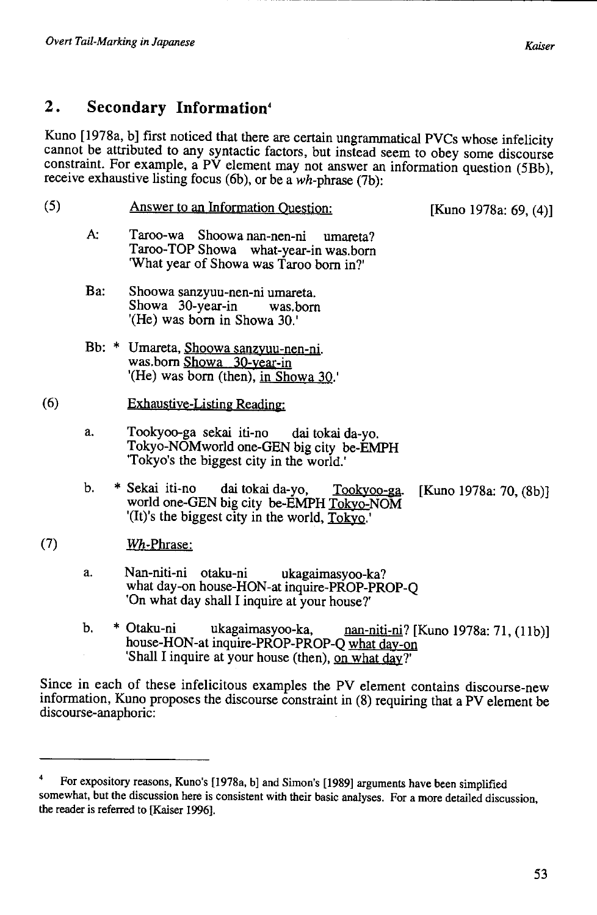discourse-anaphoric:

## **2. Secondary Information•**

Kuno [1978a, b] first noticed that there are certain ungrammatical PVCs whose infelicity cannot be attributed to any syntactic factors, but instead seem to obey some discourse constraint. For example, a PV element may not answer an information question (5Bb), receive exhaustive listing focus (6b), or be a wh-phrase (7b):

(5) (6) Answer to an Information Question: A: Taroo-wa Shoowa nan-nen-ni umareta? Taroo-TOP Showa what-year-in was.born 'What year of Showa was Taroo born in?' Ba: Shoowa sanzyuu-nen-ni umareta. Showa 30-year-in was.born '(He) was born in Showa 30.' Bb: \* Umareta, Shoowa sanzyuu-nen-ni. was. born Showa 30-year-in a. '(He) was born (then), in Showa 30.' Exhaustive-Listing Reading: Tookyoo-ga sekai iti-no dai tokai da-yo. Tokyo-NOMworld one-GEN big city be-EMPH 'Tokyo's the biggest city in the world.' [Kuno 1978a: 69, (4)] b. \* Sekai iti-no dai tokai da-yo, Tookyoo-ga. [Kuno 1978a: 70, (8b)] world one-GEN big city be-EMPH Tokyo-NOM '(It)'s the biggest city in the world,  $Toky<sub>Q</sub>$ . (7) Wh-Phrase: a. Nan-niti-ni otaku-ni ukagaimasyoo-ka? what day-on house-HON-at inquire-PROP-PROP-O 'On what day shall I inquire at your house?' b. \* Otaku-ni ukagaimasyoo-ka, nan-niti-ni? [Kuno 1978a: 71, (11b)] house-HON-at inquire-PROP-PROP-Q what day-on 'Shall I inquire at your house (then), on what dav?' Since in each of these infelicitous examples the PV element contains discourse-new information, Kuno proposes the discourse constraint in (8) requiring that a PV element be

For expository reasons, Kuno's [1978a, b] and Simon's [1989] arguments have been simplified somewhat, but the discussion here is consistent with their basic analyses. For a more detailed discussion, the reader is referred to [Kaiser 1996].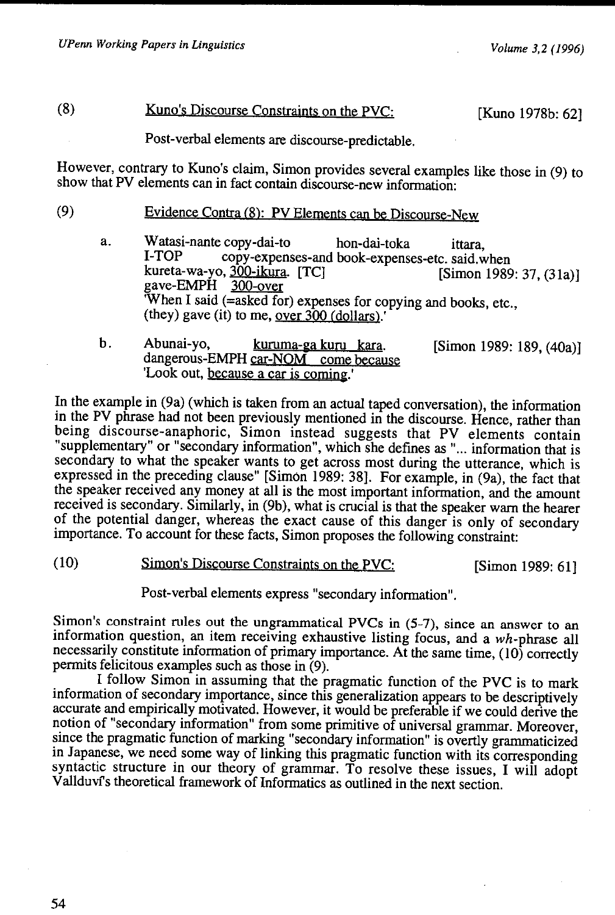## (8) Kuno's Discourse Constraints on the PVC: [Kuno 1978b: 62]

Post-verbal elements are discourse-predictable.

However, contrary to Kuno's claim, Simon provides several examples like those in (9) to show that PV elements can in fact contain discourse-new information:

- (9) Evidence Contra (8): PV Elements can be Discourse-New
	- a. Watasi-nante copy-dai-to hon-dai-toka ittara, I-TOP copy-expenses-and book-expenses-etc. said.when<br>kureta-wa-yo, 300-ikura. [TC] [Simon 1989] kureta-wa-yo, <u>300-ikura</u>. [TC] [Simon 1989: 37, (31a)]<br>gave-EMPH 300-over When I said (=asked for) expenses for copying and books, etc., (they) gave (it) to me, over 300 (dollars).'
	- b. Abunai-yo, kuruma-ga kuru kara. dangerous-EMPH car-NOM come because 'Look out, because a car is coming.' [Simon 1989: 189, (40a)]

In the example in (9a) (which is taken from an actual taped conversation), the information in the PV phrase had not been previously mentioned in the discourse. Hence, rather than being discourse-anaphoric, Simon instead suggests that PV elements contain "supplementary" or "secondary information", which she defines as" ... information that is secondary to what the speaker wants to get across most during the utterance, which is expressed in the preceding clause" [Simon 1989: 38]. For example, in (9a), the fact that the speaker received any money at all is the most important information, and the amount received is secondary. Similarly, in (9b), what is crucial is that the speaker warn the hearer of the potential danger, whereas the exact cause of this danger is only of secondary importance. To account for these facts, Simon proposes the following constraint:

(10) Simon's Discourse Constraints on the PVC: [Simon 1989: 61]

Post-verbal elements express "secondary information".

Simon's constraint rules out the ungrammatical PVCs in (5-7), since an answer to an information question, an item receiving exhaustive listing focus, and a wh-phrase all necessarily constitute information of primary importance. At the same time,  $(10)$  correctly permits felicitous examples such as those in (9).

I follow Simon in assuming that the pragmatic function of the PVC is to mark information of secondary importance, since this generalization appears to be descriptively accurate and empirically motivated. However, it would be preferable if we could derive the notion of "secondary information" from some primitive of universal grammar. Moreover, since the pragmatic function of marking "secondary information" is overtly grarnmaticized in Japanese, we need some way of linking this pragmatic function with its corresponding syntactic structure in our theory of grammar. To resolve these issues, I will adopt V allduvfs theoretical framework of Informatics as outlined in the next section.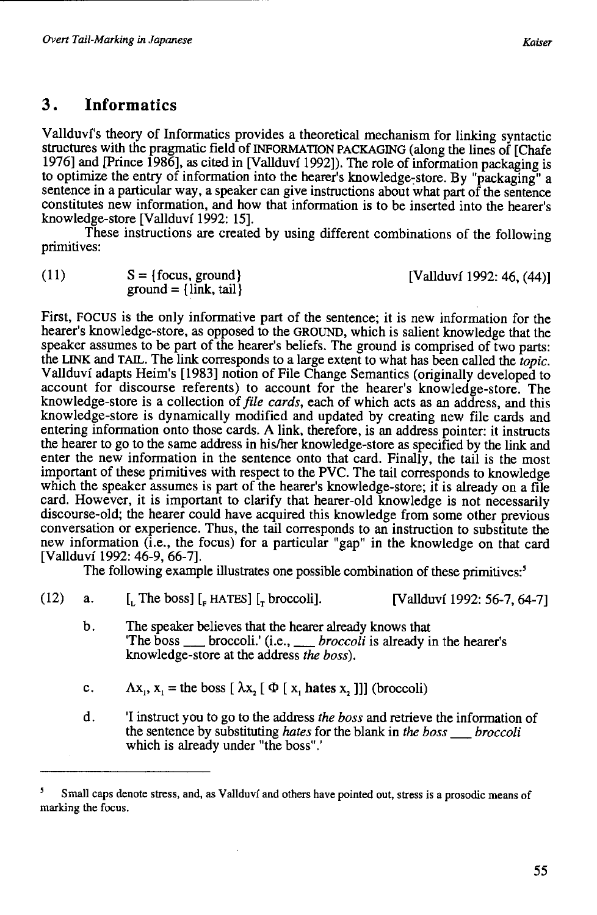# **3. Informatics**

Vallduvi's theory of Informatics provides a theoretical mechanism for linking syntactic structures with the pragmatic field of INFORMATION PACKAGJNG (along the lines of [Chafe 1976] and [Prince 1986], as cited in [Vallduvi 1992]). The role of information packaging is to optimize the entry of information into the hearer's knowledge-store. By "packaging" a sentence in a particular way, a speaker can give instructions about what part of the sentence constitutes new information, and how that information is to be inserted into the hearer's knowledge-store [Vallduvi 1992: 15].

These instructions are created by using different combinations of the following primitives:

 $(11)$   $S = {focus, ground}$  $ground = \{link, tail\}$ 

[Vallduvi 1992: 46, (44)]

First, FOCUS is the only informative part of the sentence; it is new information for the hearer's knowledge-store, as opposed to the GROUND, which is salient knowledge that the speaker assumes to be part of the hearer's beliefs. The ground is comprised of two parts: the LJNK and TAIL. The link corresponds to a large extent to what has been called the *topic.*  Vallduvi adapts Heim's [1983] notion of File Change Semantics (originally developed to account for discourse referents) to account for the hearer's knowledge-store. The knowledge-store is a collection of *file cards,* each of which acts as an address, and this knowledge-store is dynamically modified and updated by creating new file cards and entering information onto those cards. A link, therefore, is an address pointer: it instructs the hearer to go to the same address in his/her knowledge-store as specified by the link and enter the new information in the sentence onto that card. Finally, the tail is the most important of these primitives with respect to the PVC. The tail corresponds to knowledge which the speaker assumes is part of the hearer's knowledge-store; it is already on a file card. However, it is important to clarify that hearer-old knowledge is not necessarily discourse-old; the hearer could have acquired this knowledge from some other previous conversation or experience. Thus, the tail corresponds to an instruction to substitute the new information (i.e., the focus) for a particular "gap" in the knowledge on that card [Vallduvi 1992: 46-9, 66-7].

The following example illustrates one possible combination of these primitives:'

| (12) | а. | [. The boss] $\left[$ <sub>r</sub> HATES] $\left[$ <sub>r</sub> broccoli].                                                                                                             | [Vallduví 1992: 56-7, 64-7] |
|------|----|----------------------------------------------------------------------------------------------------------------------------------------------------------------------------------------|-----------------------------|
|      | b. | The speaker believes that the hearer already knows that<br>The boss ____ broccoli.' (i.e., ___ <i>broccoli</i> is already in the hearer's<br>knowledge-store at the address the boss). |                             |
|      | C. | $\Lambda x_i$ , $x_i$ = the boss $[\lambda x_i] \Phi[x_i]$ hates x, 11 (broccoli)                                                                                                      |                             |

d. 'I instruct you to go to the address *the boss* and retrieve the information of the sentence by substituting *hates* for the blank in *the boss* \_ *broccoli*  which is already under "the boss".'

<sup>5</sup> Small caps denote stress, and, as Vallduvf and others have pointed out, stress is a prosodic means of marking the focus.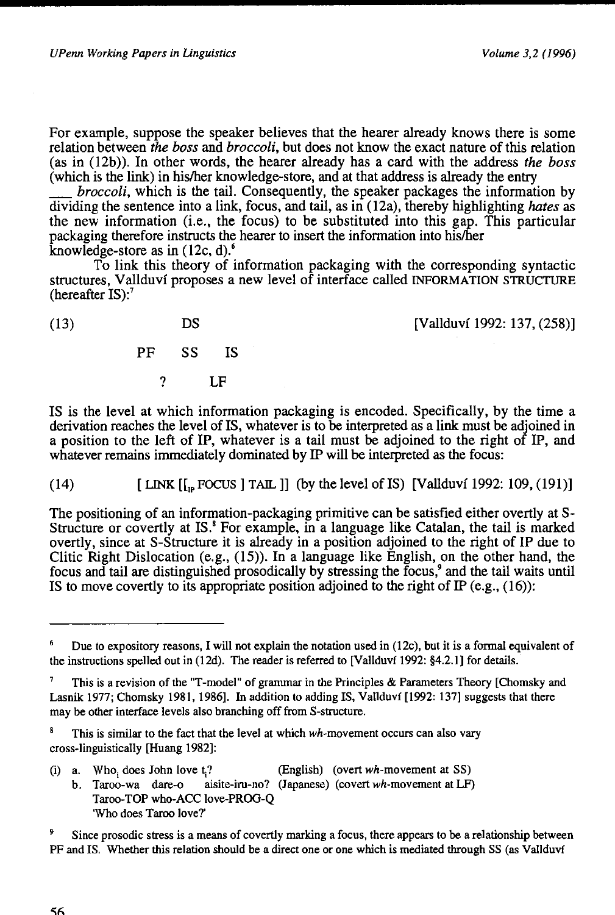For example, suppose the speaker believes that the hearer already knows there is some relation between *the boss* and *broccoli,* but does not know the exact nature of this relation (as in (12b)). In other words, the hearer already has a card with the address *the boss*  (which is the link) in his/her knowledge-store, and at that address is already the entry

\_ *broccoli,* which is the tail. Consequently, the speaker packages the information by dividing the sentence into a link, focus, and tail, as in (12a), thereby highlighting *hates* as the new information (i.e., the focus) to be substituted into this gap. This particular packaging therefore instructs the hearer to insert the information into his/her knowledge-store as in (12c, d).'

To link this theory of information packaging with the corresponding syntactic structures, Vallduvf proposes a new level of interface called INFORMATION STRUCTURE (hereafter  $IS$ ):<sup>7</sup>

| (13) | DS | [Vallduví 1992: 137, (258)] |
|------|----|-----------------------------|
|      |    |                             |

PF ss IS

? LF

IS is the level at which information packaging is encoded. Specifically, by the time a derivation reaches the level of IS, whatever is to be interpreted as a link must be adjoined in a position to the left of IP, whatever is a tail must be adjoined to the right of IP, and whatever remains immediately dominated by IP will be interpreted as the focus:

(14)  $[LMK[[n, FOCUS] TALL]]$  (by the level of IS) [Vallduví 1992: 109, (191)]

The positioning of an information-packaging primitive can be satisfied either overtly at S-Structure or covertly at IS.' For example, in a language like Catalan, the tail is marked overtly, since at S-Structure it is already in a position adjoined to the right of IP due to Clitic Right Dislocation (e.g., (15)). In a language like English, on the other hand, the focus and tail are distinguished prosodically by stressing the focus,<sup>9</sup> and the tail waits until IS to move covertly to its appropriate position adjoined to the right of IP (e.g.,  $(16)$ ):

- (i) a. Who, does John love t.? (English) (overt  $wh$ -movement at SS)
	- b. Taroo-wa dare-o aisite-iru-no? (Japanese) (covert wh-movement at LF) Taroo-TOP who-ACC love-PROG-Q 'Who does Taroo love?'

Since prosodic stress is a means of covertly marking a focus, there appears to be a relationship between PF and IS. Whether this relation should be a direct one or one which is mediated through SS (as Vallduvf

<sup>6</sup> Due to expository reasons, I will not explain the notation used in (12c), but it is a formal equivalent of the instructions spelled out in (12d). The reader is referred to [Vallduvf 1992: §4.2.1] for details.

This is a revision of the "T-model" of grammar in the Principles & Parameters Theory [Chomsky and Lasnik 1977; Chomsky 1981, 1986]. In addition to adding IS, Vallduvf [1992: 137] suggests that there may be other interface levels also branching off from S-structure.

This is similar to the fact that the level at which wh-movement occurs can also vary cross-linguistically [Huang 1982]: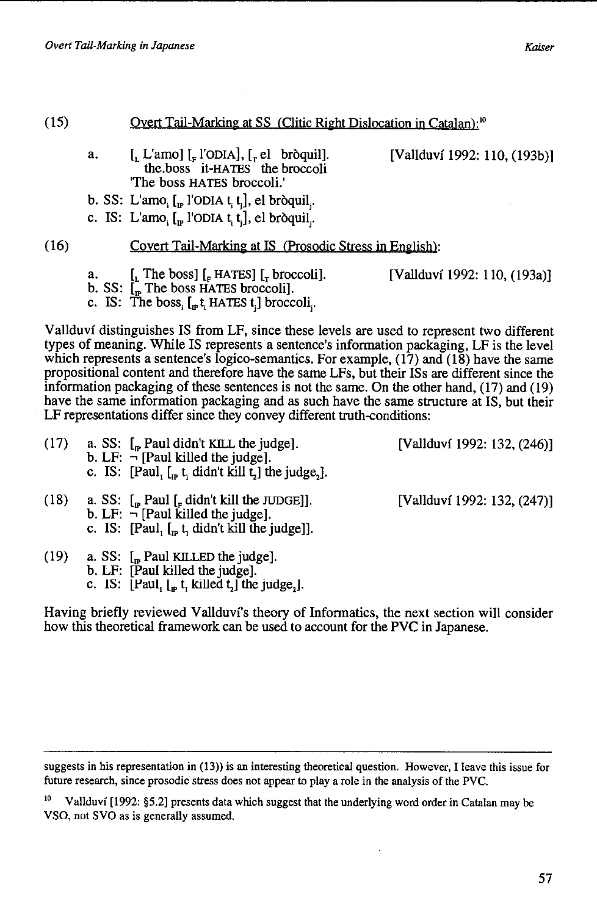| (15) |    | Overt Tail-Marking at SS (Clitic Right Dislocation in Catalan); <sup>10</sup>                                                                                                                               |                              |
|------|----|-------------------------------------------------------------------------------------------------------------------------------------------------------------------------------------------------------------|------------------------------|
|      | a. | [[, L'amo] $\lbrack_{F}$ l'ODIA], $\lbrack_{T}$ el bròquil].<br>the boss it-HATES the broccoli<br>"The boss HATES broccoli."                                                                                | [Vallduví 1992: 110, (193b)] |
|      |    | b. SS: L'amo, $\left[\begin{matrix} 0 \\ 0 \end{matrix}\right]$ (oDIA t, t, d), el bròquil,                                                                                                                 |                              |
|      |    | c. IS: L'amo, $\left[\begin{matrix} 0 \\ 0 \end{matrix}\right]$ l'ODIA t <sub>i</sub> t <sub>i</sub> ], el bròquil <sub>i</sub> .                                                                           |                              |
| (16) |    | Covert Tail-Marking at IS (Prosodic Stress in English):                                                                                                                                                     |                              |
|      | а. | [, The boss] $\left[$ , HATES] $\left[$ , broccoli].<br>b. SS: $\tilde{L}_n$ The boss HATES broccoli].<br>c. IS: The boss, $\left[\begin{smallmatrix} 1 \\ 0 \end{smallmatrix} \right]$ HATES t.] broccoli. | [Vallduví 1992: 110, (193a)] |
|      |    | Vallduví distinguishes IS from LF, since these levels are used to represent two different<br>types of meaning. While IS represents a sentence's information packaging. I E is the level                     |                              |

types of meaning. While IS represents a sentence's information packaging, LF is the level which represents a sentence's logico-semantics. For example, (17) and (18) have the same propositional content and therefore have the same LFs, but their ISs are different since the information packaging of these sentences is not the same. On the other hand, ( 17) and ( 19) have the same information packaging and as such have the same structure at IS, but their LF representations differ since they convey different truth-conditions:

- (17) a. SS:  $\left[ \right]_P$  Paul didn't KILL the judge]. [Vallduvf 1992: 132, (246)] b. LF:  $\neg$  [Paul killed the judge]. c. IS: [Paul,  $\left[ \begin{matrix} 0 \\ 0 \end{matrix} \right]$  to  $\left[ \begin{matrix} 0 \\ 1 \end{matrix} \right]$  the judge,  $\left[ \begin{matrix} 0 \\ 1 \end{matrix} \right]$ . (18) a. SS:  $\left[\right]_F$  Paul  $\left[\right]_F$  didn't kill the JUDGE]]. [Vallduví 1992: 132, (247)] b. LF:  $\vec{\neg}$  [Paul killed the judge].
- c. IS: [Paul, [1p t, didn't kill the judge]].
- $(19)$  a. SS:  $\int_{\mathfrak{m}}$  Paul KILLED the judge].
	- b. LF: [Paul killed the judge].
	- c. IS:  $\left[ \text{Paul}_1 \left[ \right]_F t_1 \text{ killed } t_2 \right]$  the judge<sub>2</sub>].

Having briefly reviewed Vallduvf's theory of Informatics, the next section will consider how this theoretical framework can be used to account for the PVC in Japanese.

suggests in his representation in (13)) is an interesting theoretical question. However, I leave this issue for future research, since prosodic stress does not appear to play a role in the analysis of the PVC.

<sup>&</sup>lt;sup>10</sup> Vallduví [1992: §5.2] presents data which suggest that the underlying word order in Catalan may be VSO, not SVO as is generally assumed.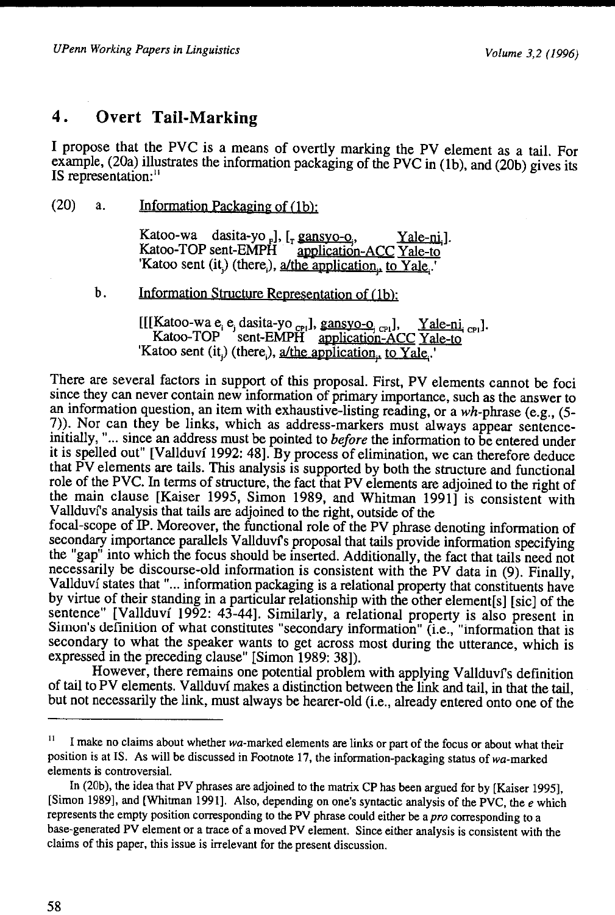## **4. Overt Tail-Marking**

I propose that the PVC is a means of overtly marking the PV element as a tail. For example, (20a) illustrates the information packaging of the PVC in (1b), and (20b) gives its IS representation:"

(20) a. Information Packaging of  $(1b)$ :

Katoo-wa dasita-yo [],  $[I_r \frac{gansyo-o}{apolication}-ACC$  Yale-to<br>Katoo-TOP sent-EMPH application-ACC Yale-to application-ACC Yale-to 'Katoo sent (it,) (there,), a/the application, to Yale,.'

b. Information Structure Representation of (1b):

[[[Katoo-wa e, e, dasita-yo <sub>CF1</sub>], gansyo-o<sub>. CF1</sub>], Yale-ni. <sub>CF1</sub>]. Katoo-TOP 'sent-EMPH application-ACC Yale-to 'Katoo sent (it,) (there,),  $a$ /the application, to Yale,.'

There are several factors in support of this proposal. First, PV elements cannot be foci since they can never contain new information of primary importance, such as the answer to an information question, an item with exhaustive-listing reading, or a wh-phrase (e.g., (5- 7)). Nor can they be links, which as address-markers must always appear sentenceinitially, "... since an address must be pointed to *before* the information to be entered under it is spelled out" [Vallduvf 1992: 48]. By process of elimination, we can therefore deduce that PV elements are tails. This analysis is supported by both the structure and functional role of the PVC. In terms of structure, the fact that PV elements are adjoined to the right of the main clause [Kaiser 1995, Simon 1989, and Whitman 1991] is consistent with V allduvf's analysis that tails are adjoined to the right, outside of the

focal-scope of IP. Moreover, the functional role of the PV phrase denoting information of secondary importance parallels Vallduvf's proposal that tails provide information specifying the "gap" into which the focus should be inserted. Additionally, the fact that tails need not necessarily be discourse-old information is consistent with the PV data in (9). Finally, Vallduví states that "... information packaging is a relational property that constituents have by virtue of their standing in a particular relationship with the other element[s] [sic] of the sentence" [Vallduvf 1992: 43-44]. Similarly, a relational property is also present in Simon's definition of what constitutes "secondary information" (i.e., "information that is secondary to what the speaker wants to get across most during the utterance, which is expressed in the preceding clause" [Simon 1989: 38]).

However, there remains one potential problem with applying Vallduvf's definition of tail to PV elements. Vallduvf makes a distinction between the link and tail, in that the tail, but not necessarily the link, must always be hearer-old (i.e., already entered onto one of the

<sup>&</sup>lt;sup>11</sup> I make no claims about whether wa-marked elements are links or part of the focus or about what their position is at IS. As will be discussed in Footnote 17, the information-packaging status of wa-marked elements is controversial.

In (20b), the idea that PV phrases are adjoined to the matrix CP has been argued for by [Kaiser 1995], [Simon 1989], and [Whitman 1991]. Also, depending on one's syntactic analysis of the PVC, the  $e$  which represents the empty position corresponding to the PV phrase could either be a *pro* corresponding to a base-generated PV element or a trace of a moved PV element. Since either analysis is consistent with the claims of this paper, this issue is irrelevant for the present discussion.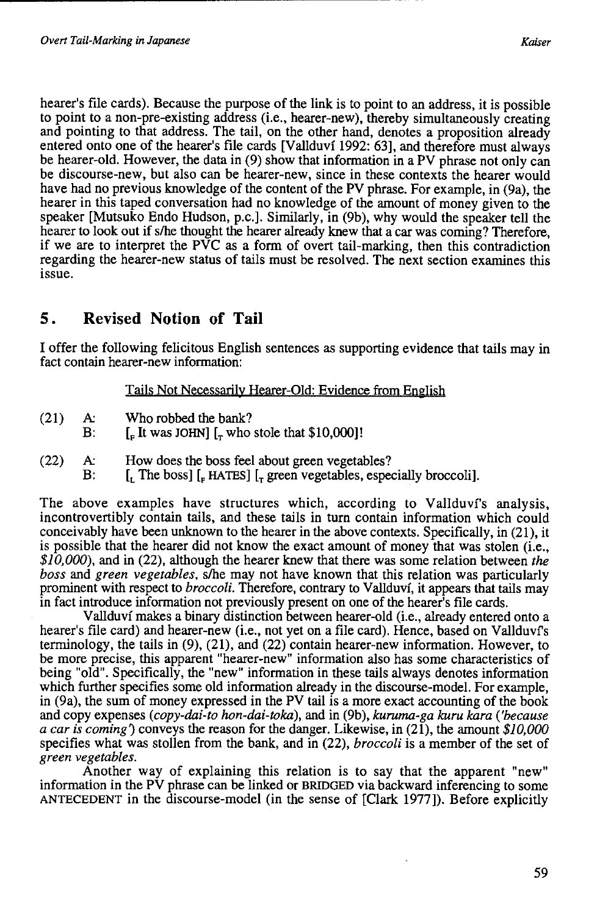hearer's file cards). Because the purpose of the link is to point to an address, it is possible to point to a non-pre-existing address (i.e., hearer-new), thereby simultaneously creating and pointing to that address. The tail, on the other hand, denotes a proposition already entered onto one of the hearer's file cards [Vallduvi 1992: 63], and therefore must always be hearer-old. However, the data in (9) show that information in a PV phrase not only can be discourse-new, but also can be hearer-new, since in these contexts the hearer would have had no previous knowledge of the content of the PV phrase. For example, in (9a), the hearer in this taped conversation had no knowledge of the amount of money given to the speaker [Mutsuko Endo Hudson, p.c.]. Similarly, in (9b), why would the speaker tell the hearer to look out if s/he thought the hearer already knew that a car was coming? Therefore, if we are to interpret the PVC as a form of overt tail-marking, then this contradiction regarding the hearer-new status of tails must be resolved. The next section examines this issue.

# **5. Revised Notion of Tail**

I offer the following felicitous English sentences as supporting evidence that tails may in fact contain hearer-new information:

#### Tails Not Necessarily Hearer-Old: Evidence from English

- (21) A: Who robbed the bank?
- B:  $\left[\begin{array}{cc}E\end{array}\right]$  [ $\left[\begin{array}{c}\bullet\end{array}\right]$  [ $\left[\begin{array}{c}\bullet\end{array}\right]$  who stole that \$10,000]!
- (22) A: How does the boss feel about green vegetables?
	- B:  $\left[ \begin{matrix} 1 \end{matrix} \right]$  [ $\left[ \begin{matrix} 1 \end{matrix} \right]$  [ $\left[ \begin{matrix} 1 \end{matrix} \right]$  HATES]  $\left[ \begin{matrix} 1 \end{matrix} \right]$  green vegetables, especially broccoli].

The above examples have structures which, according to Vallduvi's analysis, incontrovertibly contain tails, and these tails in turn contain information which could conceivably have been unknown to the hearer in the above contexts. Specifically, in (21), it is possible that the hearer did not know the exact amount of money that was stolen (i.e., *\$10,000),* and in (22), although the hearer knew that there was some relation between *the boss* and *green vegetables,* slhe may not have known that this relation was particularly prominent with respect to *broccoli.* Therefore, contrary to Vallduvi, it appears that tails may in fact introduce information not previously present on one of the hearer's file cards.

Vallduvi makes a binary distinction between hearer-old (i.e., already entered onto a hearer's file card) and hearer-new (i.e., not yet on a file card). Hence, based on Vallduvi's terminology, the tails in (9), (21), and (22) contain hearer-new information. However, to be more precise, this apparent "hearer-new" information also has some characteristics of being "old". Specifically, the "new" information in these tails always denotes information which further specifies some old information already in the discourse-model. For example, in (9a), the sum of money expressed in the PV tail is a more exact accounting of the book and copy expenses *(copy-dai-to hon-dai-toka),* and in (9b), *kuruma-ga kuru kara ('because a car is coming)* conveys the reason for the danger. Likewise, in (21), the amount *\$10,000*  specifies what was stollen from the bank, and in (22), *broccoli* is a member of the set of *green vegetables.* 

Another way of explaining this relation is to say that the apparent "new" information in the PV phrase can be linked or BRIDGED via backward inferencing to some ANTECEDENT in the discourse-model (in the sense of [Clark 1977]). Before explicitly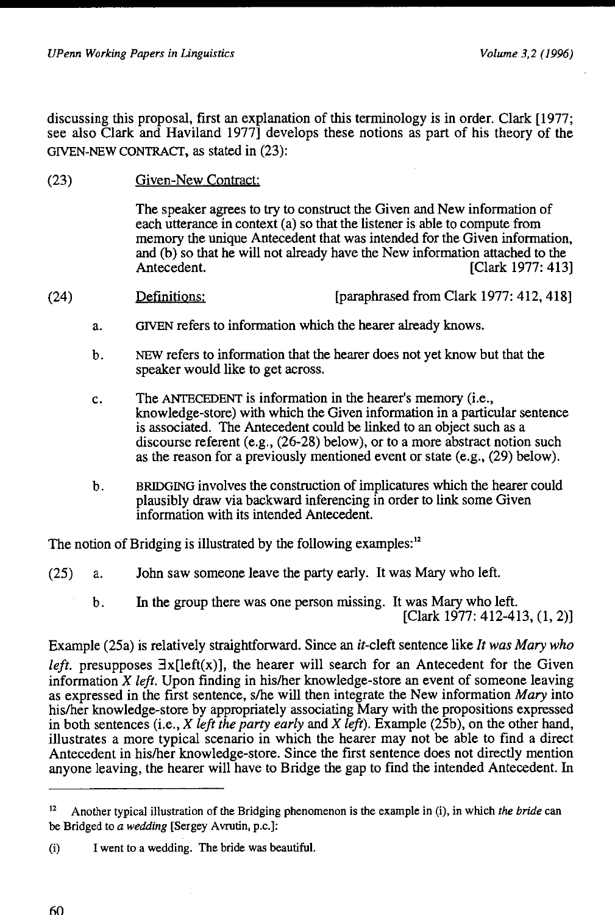discussing this proposal, first an explanation of this terminology is in order. Clark [1977; see also Clark and Haviland 1977] develops these notions as part of his theory of the GIVEN-NEW CONTRACT, as stated in (23):

(23) Given-New Contract:

> The speaker agrees to try to construct the Given and New information of each utterance in context (a) so that the listener is able to compute from memory the unique Antecedent that was intended for the Given information, and (b) so that he will not already have the New information attached to the Antecedent. [Clark 1977: 413]

- (24) Definitions: [paraphrased from Clark 1977: 412, 418]
	- a. GIVEN refers to information which the hearer already knows.
	- b. NEW refers to information that the hearer does not yet know but that the speaker would like to get across.
	- c. The ANTECEDENT is information in the hearer's memory (i.e., knowledge-store) with which the Given information in a particular sentence is associated. The Antecedent could be linked to an object such as a discourse referent (e.g., (26-28) below), or to a more abstract notion such as the reason for a previously mentioned event or state (e.g., (29) below).
	- b. BRIDGING involves the construction of implicatures which the hearer could plausibly draw via backward inferencing in order to link some Given information with its intended Antecedent.

The notion of Bridging is illustrated by the following examples:<sup>12</sup>

- (25) a. John saw someone leave the party early. It was Mary who left.
	- b. In the group there was one person missing. It was Mary who left. [Clark 1977: 412-413, (1, 2)]

Example (25a) is relatively straightforward. Since an it-cleft sentence like *It was Mary who left.* presupposes  $\exists x$ [left(x)], the hearer will search for an Antecedent for the Given information *X left.* Upon finding in his/her knowledge-store an event of someone leaving as expressed in the first sentence, s/he will then integrate the New information *Mary* into his/her knowledge-store by appropriately associating Mary with the propositions expressed in both sentences (i.e., *X left the party early* and *X left).* Example (25b), on the other hand, illustrates a more typical scenario in which the hearer may not be able to find a direct Antecedent in his/her knowledge-store. Since the first sentence does not directly mention anyone leaving, the hearer will have to Bridge the gap to find the intended Antecedent. In

<sup>12</sup> Another typical illustration of the Bridging phenomenon is the example in (i), in which *the bride* can be Bridged to *a wedding* [Sergey Avrutin, p.c.]:

<sup>(</sup>i) I went to a wedding. The bride was beautiful.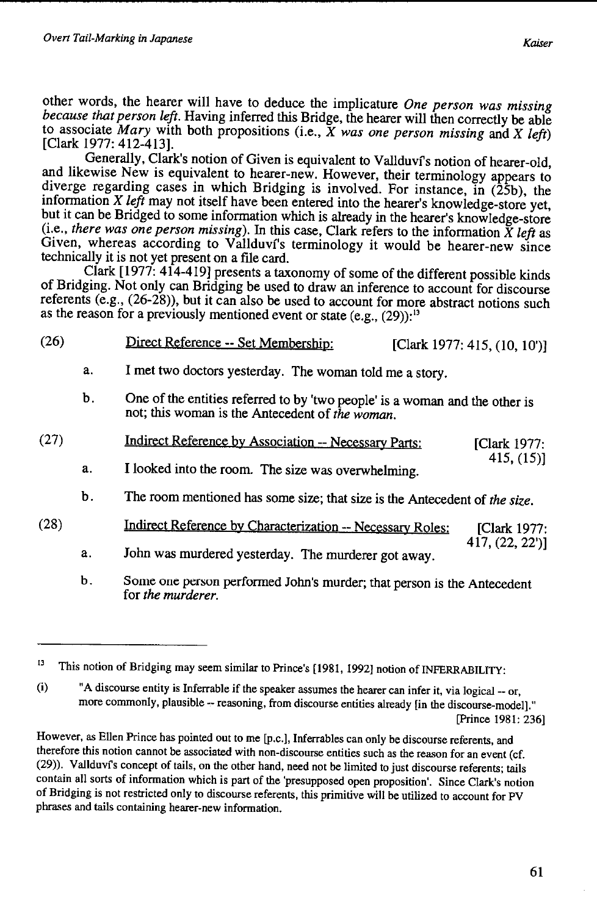other words, the hearer will have to deduce the implicature *One person was missing because that person left.* Having inferred this Bridge, the hearer will then correctly be able to associate *Mary* with both propositions (i.e., *X was one person missing* and *X left)* [Clark 1977: 412-413].

Generally, Clark's notion of Given is equivalent to Vallduvi's notion of hearer-old, and likewise New is equivalent to hearer-new. However, their terminology appears to diverge regarding cases in which Bridging is involved. For instance, in (25b), the information *X left* may not itself have been entered into the hearer's knowledge-store yet, but it can be Bridged to some information which is already in the hearer's knowledge-store (i.e., *there was one person missing).* In this case, Clark refers to the information *X left* as Given, whereas according to Vallduvi's terminology it would be hearer-new since technically it is not yet present on a file card.

Clark [ 1977: 414-419] presents a taxonomy of some of the different possible kinds of Bridging. Not only can Bridging be used to draw an inference to account for discourse referents (e.g., (26-28)), but it can also be used to account for more abstract notions such as the reason for a previously mentioned event or state  $(e.g., (29))$ :<sup>13</sup>

| (26) |                | Direct Reference -- Set Membership:                                                                                            | [Clark 1977: 415, (10, 10')] |
|------|----------------|--------------------------------------------------------------------------------------------------------------------------------|------------------------------|
|      | a.             | I met two doctors yesterday. The woman told me a story.                                                                        |                              |
|      | b.             | One of the entities referred to by 'two people' is a woman and the other is<br>not; this woman is the Antecedent of the woman. |                              |
| (27) |                | Indirect Reference by Association -- Necessary Parts:                                                                          | [Clark $1977$ :              |
|      | a <sub>x</sub> | I looked into the room. The size was overwhelming.                                                                             | 415, (15)                    |
|      | b.             | The room mentioned has some size; that size is the Antecedent of the size.                                                     |                              |
| (28) |                | Indirect Reference by Characterization -- Necessary Roles:                                                                     | <b>IClark 1977:</b>          |
|      |                |                                                                                                                                | 417, (22, 22')               |

- a. John was murdered yesterday. The murderer got away.
- b. Some one person performed John's murder; that person is the Antecedent for *the murderer.*

<sup>&</sup>lt;sup>13</sup> This notion of Bridging may seem similar to Prince's [1981, 1992] notion of INFERRABILITY:

<sup>(</sup>i) "A discourse entity is Inferrable if the speaker assumes the hearer can infer it, via logical-- or, more commonly, plausible -- reasoning, from discourse entities already [in the discourse-model]." [Prince 1981: 236]

However, as Ellen Prince has pointed out to me [p.c.], Inferrables can only be discourse referents, and therefore this notion cannot be associated with non-discourse entities such as the reason for an event (cf. (29)). Vallduvfs concept of tails, on the other hand, need not be limited to just discourse referents; tails contain all sorts of information which is part of the 'presupposed open proposition'. Since Clark's notion of Bridging is not restricted only to discourse referents, this primitive will be utilized to account for PV phrases and tails containing hearer-new information.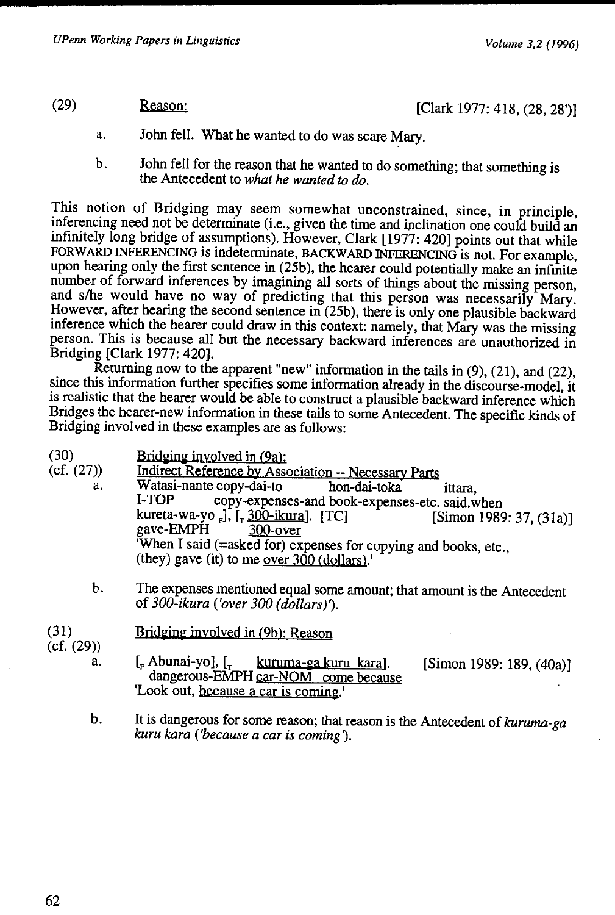## (29) Reason: [Clark 1977: 418, (28, 28')]

- a. John fell. What he wanted to do was scare Mary.
- b. John fell for the reason that he wanted to do something; that something is the Antecedent to *what he wanted to do.*

This notion of Bridging may seem somewhat unconstrained, since, in principle, inferencing need not be determinate (i.e., given the time and inclination one could build an infinitely long bridge of assumptions). However, Clark [1977: 420] points out that while FORWARD INFERENCING is indeterminate, BACKWARD INFERENCING is not. For example, upon hearing only the first sentence in (25b), the hearer could potentially make an infinite number of forward inferences by imagining all sorts of things about the missing person, and s/he would have no way of predicting that this person was necessarily Mary. However, after hearing the second sentence in (25b), there is only one plausible backward inference which the hearer could draw in this context: namely, that Mary was the missing person. This is because all but the necessary backward inferences are unauthorized in Bridging [Clark 1977: 420].

Returning now to the apparent "new" information in the tails in (9), (21), and (22), since this information further specifies some information already in the discourse-model, it is realistic that the hearer would be able to construct a plausible backward inference which Bridges the hearer-new information in these tails to some Antecedent. The specific kinds of Bridging involved in these examples are as follows:

| (30)<br>(cf. (27))<br>a. | Bridging involved in (9a):<br>Indirect Reference by Association -- Necessary Parts<br>Watasi-nante copy-dai-to hon-dai-toka<br>ittara.<br>I-TOP<br>copy-expenses-and book-expenses-etc. said.when<br>kureta-wa-yo -], [- 300-ikura]. [TC]<br>[Simon 1989: 37, $(31a)$ ]<br>gave-EMPH 300-over<br>When I said (=asked for) expenses for copying and books, etc.,<br>(they) gave (it) to me over $300$ (dollars). |
|--------------------------|-----------------------------------------------------------------------------------------------------------------------------------------------------------------------------------------------------------------------------------------------------------------------------------------------------------------------------------------------------------------------------------------------------------------|
| b.                       | The expenses mentioned equal some amount; that amount is the Antecedent<br>of $300$ -ikura ('over $300$ (dollars)').                                                                                                                                                                                                                                                                                            |
| (31)<br>(cf. (29))       | Bridging involved in (9b): Reason                                                                                                                                                                                                                                                                                                                                                                               |
| a.                       | $\left[\right.$ Abunai-yo], $\left[\right.$ kuruma-ga kuru kara].<br>[Simon 1989: 189, (40a)]<br>dangerous-EMPH car-NOM come because<br>Look out, because a car is coming.                                                                                                                                                                                                                                      |

b. It is dangerous for some reason; that reason is the Antecedent of *kuruma-ga kuru kara ('because a car is coming1.*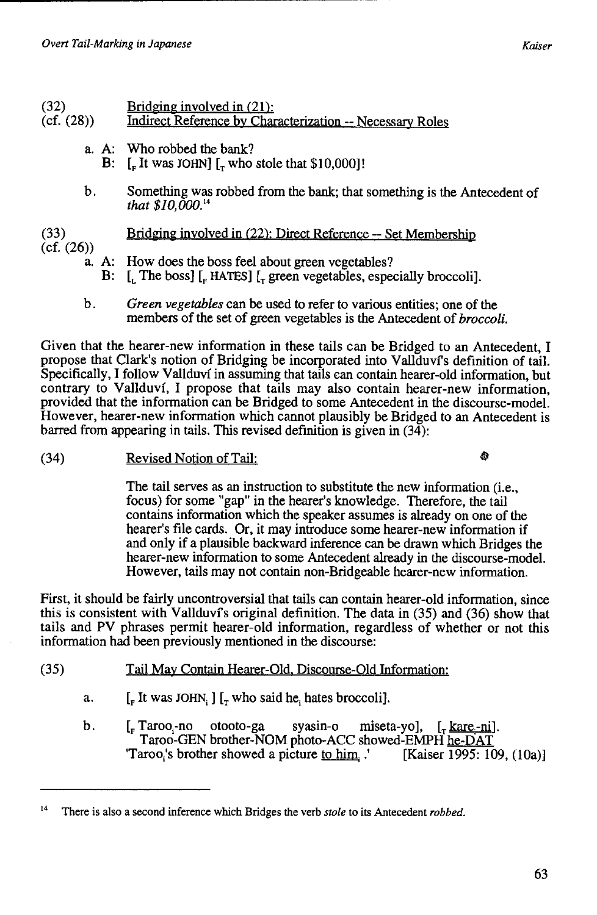# (32) Bridging involved in  $(21)$ :<br>(cf.  $(28)$ ) Indirect Reference by Char

- Indirect Reference by Characterization -- Necessary Roles
	- a. A: Who robbed the bank?
		- B:  $\left[\right]_F$  It was JOHN]  $\left[\right]_F$  who stole that \$10,000]!
	- b. Something was robbed from the bank; that something is the Antecedent of *that \$10,000.* <sup>14</sup>

#### (33) Bridging involved in (22): Direct Reference -- Set Membership

- (cf. (26))
	- a. A: How does the boss feel about green vegetables?
		- [I The boss]  $\left[$ <sub>F</sub> HATES]  $\left[$ <sub>r</sub> green vegetables, especially broccoli].
	- b. *Green vegetables* can be used to refer to various entities; one of the members of the set of green vegetables is the Antecedent of *broccoli.*

Given that the hearer-new information in these tails can be Bridged to an Antecedent, I propose that Clark's notion of Bridging be incorporated into V allduvi's definition of tail. Specifically, I follow Vallduvi in assuming that tails can contain hearer-old information, but contrary to Vallduvi, I propose that tails may also contain hearer-new information, provided that the information can be Bridged to some Antecedent in the discourse-model. However, hearer-new information which cannot plausibly be Bridged to an Antecedent is barred from appearing in tails. This revised definition is given in (34):

(34) Revised Notion of Tail:

۵ì

The tail serves as an instruction to substitute the new information (i.e., focus) for some "gap" in the hearer's knowledge. Therefore, the tail contains information which the speaker assumes is already on one of the hearer's file cards. Or, it may introduce some hearer-new information if and only if a plausible backward inference can be drawn which Bridges the hearer-new information to some Antecedent already in the discourse-model. However, tails may not contain non-Bridgeable hearer-new information.

First, it should be fairly uncontroversial that tails can contain hearer-old information, since this is consistent with Vallduvi's original definition. The data in (35) and (36) show that tails and PV phrases permit hearer-old information, regardless of whether or not this information had been previously mentioned in the discourse:

- (35) Tail May Contain Hearer-Old. Discourse-Old Information:
	- a.  $\left[\right.$  [Fig. It was JOHN, ]  $\left[\right.$  who said he, hates broccoli].
	- b.  $\left[\right.$   $\left[\right.$   $\left.\right.$   $\left[\right.$   $\left.\right.$   $\left[\right.$   $\left.\right.$   $\left.\right]$   $\left[\right.$   $\left.\right.$   $\left.\right]$   $\left[\right.$   $\left.\right.$   $\left.\right]$   $\left[\right.$   $\left.\right.$   $\left.\right]$   $\left.\right]$   $\left[\right.$   $\left.\right.$   $\left.\right]$   $\left.\right.$   $\left.\right]$   $\left.\right.$   $\left.\right.$   $\left.\right]$   $\left.\right.$   $\$ Taroo-GEN brother-NOM photo-ACC showed-EMPH he-DAT 'Taroo,'s brother showed a picture to him.' [Kaiser 1995: 109, (lOa)]

<sup>14</sup> There is also a second inference which Bridges the verb *stole* to its Antecedent *robbed.*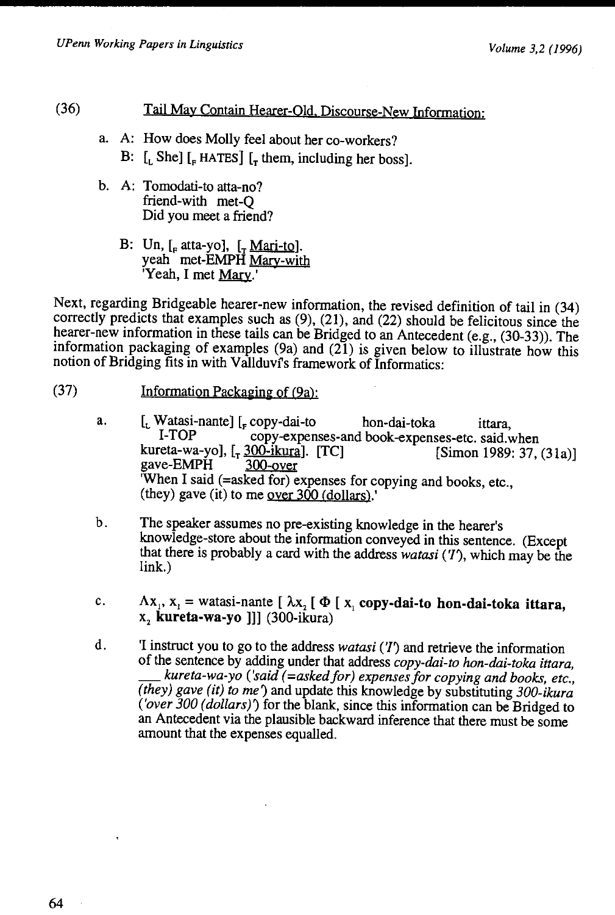#### (36) Tail May Contain Hearer-Old. Discourse-New Information:

- a. A: How does Molly feel about her co-workers? B:  $\left[$ , She]  $\left[$ <sub>r</sub> HATES]  $\left[$ <sub>r</sub> them, including her boss].
- b. A: Tomodati-to atta-no? friend-with met-Q Did you meet a friend?
	- B: Un,  $\left[$ <sub>F</sub> atta-yo],  $\left[$ <sub>r</sub> Mari-to]. yeah met-EMPH Mary-with Yeah, I met Mary.'

Next, regarding Bridgeable hearer-new information, the revised definition of tail in (34) correctly predicts that examples such as (9), (21), and (22) should be felicitous since the hearer-new information in these tails can be Bridged to an Antecedent (e.g., (30-33)). The information packaging of examples  $(9a)$  and  $(21)$  is given below to illustrate how this notion of Bridging fits in with Vallduvi's framework of Informatics:

- (37) Information Packaging of (9a):
	- a.  $\begin{bmatrix} L \\ L \end{bmatrix}$  [Let us a series 1-roopy-dai-to hon-dai-toka ittara,  $\begin{bmatrix} L & L \\ L & L \end{bmatrix}$  [Let us a series 1-roopy-expenses-and book-expenses-etc, said v copy-expenses-and book-expenses-etc. said. when kureta-wa-yo],  $\left[ \frac{1}{200 - i \text{km/s}} \right]$ . [TC] [Simon 1989: 37, (31a)]<br>gave-EMPH 300-over gave-EMPH 'When I said (=asked for) expenses for copying and books, etc., (they) gave (it) to me <u>over 300 (dollars</u>).
	- b. The speaker assumes no pre-existing knowledge in the hearer's knowledge-store about the information conveyed in this sentence. (Except that there is probably a card with the address *watasi* (*T*), which may be the link.)
	- c.  $\Lambda x_1$ ,  $x_1$  = watasi-nante [ $\lambda x_2$  [ $\Phi$  [ $x_1$  copy-dai-to hon-dai-toka ittara, x, **kureta-wa-yo** ]]] (300-ikura)
	- d. 'I instruct you to go to the address *watasi (T)* and retrieve the information of the sentence by adding under that address *copy-dai-to hon-dai-toka ittara,*  \_ *kureta-wa-yo ('said (=askedfor) expenses for copying and books, etc., (they) gave (it) to me')* and update this knowledge by substituting *300-ikura ('over 300 (dollars)')* for the blank, since this information can be Bridged to an Antecedent via the plausible backward inference that there must be some amount that the expenses equalled.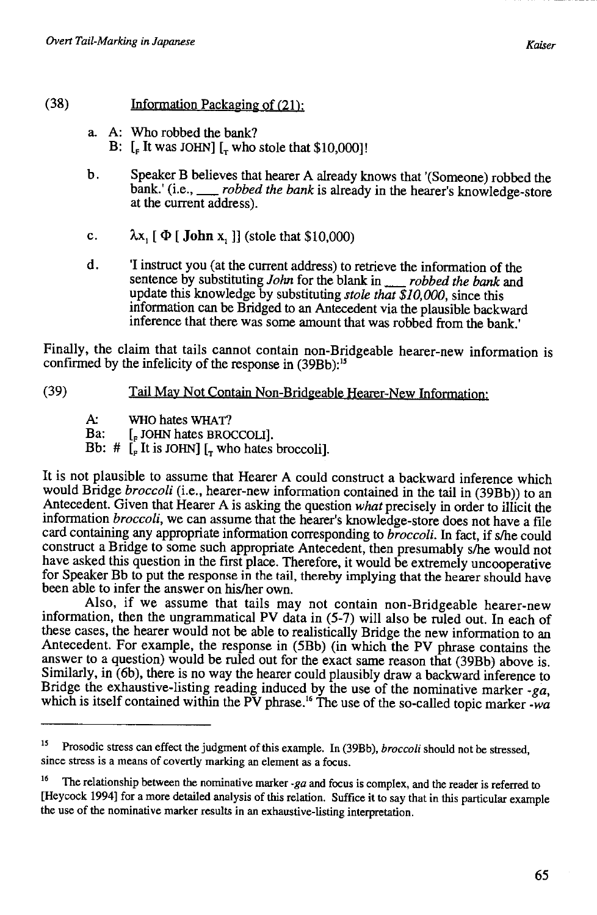#### (38) Information Packaging of (21):

- a. A: Who robbed the bank? B:  $\lbrack$  **E** It was JOHN]  $\lbrack$ <sub>T</sub> who stole that \$10,000]!
- b. Speaker B believes that hearer A already knows that '(Someone) robbed the bank.' (i.e.,  $\Box$  *robbed the bank* is already in the hearer's knowledge-store robbed the bank is already in the hearer's knowledge-store at the current address).
- c.  $\lambda x$ ,  $[\Phi]$  **John** x, **]** (stole that \$10,000)
- d. 'I instruct you (at the current address) to retrieve the information of the sentence by substituting *John* for the blank in\_ *robbed the bank* and update this knowledge by substituting *stole that \$10,000,* since this information can be Bridged to an Antecedent via the plausible backward inference that there was some amount that was robbed from the bank.'

Finally, the claim that tails cannot contain non-Bridgeable hearer-new information is confirmed by the infelicity of the response in (39Bb):<sup>15</sup>

#### (39) Tail May Not Contain Non-Bridgeable Hearer-New Information:

*A:.* WHO hates WHAT?

Ba: [, JOHN hates BROCCOLI].

Bb:  $\#$  [<sub>F</sub> It is JOHN] [<sub>T</sub> who hates broccoli].

It is not plausible to assume that Hearer A could construct a backward inference which would Bridge *broccoli* (i.e., hearer-new information contained in the tail in (39Bb)) to an Antecedent. Given that Hearer A is asking the question *what* precisely in order to illicit the information *broccoli,* we can assume that the hearer's knowledge-store does not have a file card containing any appropriate information corresponding to *broccoli.* In fact, if s/he could construct a Bridge to some such appropriate Antecedent, then presumably s/he would not have asked this question in the first place. Therefore, it would be extremely uncooperative for Speaker Bb to put the response in the tail, thereby implying that the hearer should have been able to infer the answer on his/her own.

Also, if we assume that tails may not contain non-Bridgeable hearer-new information, then the ungrammatical PV data in (5-7) will also be ruled out. In each of these cases, the hearer would not be able to realistically Bridge the new information to an Antecedent. For example, the response in (5Bb) (in which the PV phrase contains the answer to a question) would be ruled out for the exact same reason that (39Bb) above is. Similarly, in (6b), there is no way the hearer could plausibly draw a backward inference to Bridge the exhaustive-listing reading induced by the use of the nominative marker -ga, which is itself contained within the PV phrase.<sup>16</sup> The use of the so-called topic marker -wa

<sup>&</sup>lt;sup>15</sup> Prosodic stress can effect the judgment of this example. In (39Bb), *broccoli* should not be stressed, since stress is a means of covertly marking an element as a focus.

<sup>16</sup> The relationship between the nominative marker *-ga* and focus is complex, and the reader is referred to [Hey cock 1994] for a more detailed analysis of this relation. Suffice it to say that in this particular example the use of the nominative marker results in an exhaustive-listing interpretation.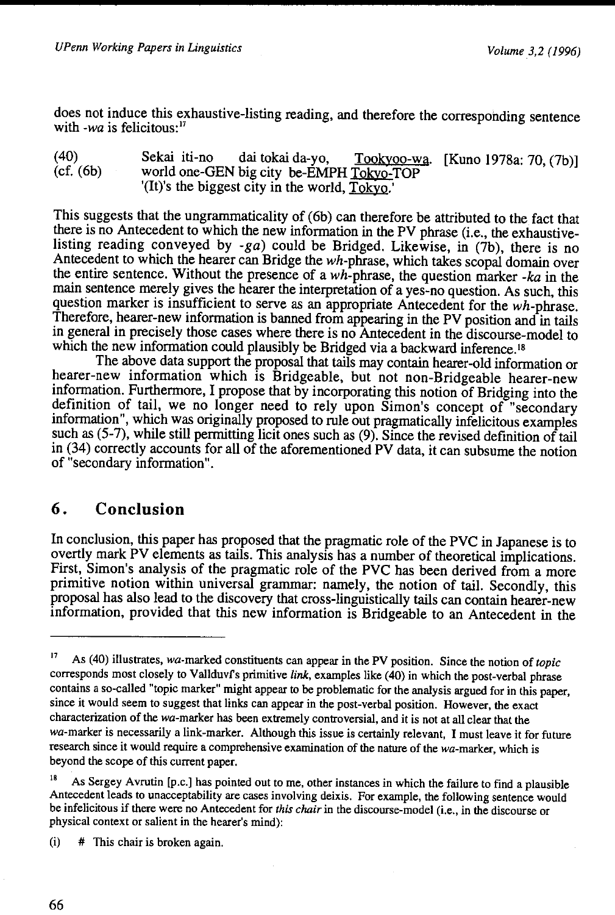does not induce this exhaustive-listing reading, and therefore the corresponding sentence with *-wa* is felicitous:<sup>17</sup>

(40) (cf. (6b) Sekai iti-no dai tokai da-yo, Tookyoo-wa. [Kuno 1978a: 70, (7b)] world one-GEN big city be-EMPH Tokyo-TOP '(It)'s the biggest city in the world,  $Tokyo$ .'

This suggests that the ungrammaticality of (6b) can therefore be attributed to the fact that there is no Antecedent to which the new information in the PV phrase (i.e., the exhaustivelisting reading conveyed by  $-ga$ ) could be Bridged. Likewise, in (7b), there is no Antecedent to which the hearer can Bridge the wh-phrase, which takes scopal domain over the entire sentence. Without the presence of a wh-phrase, the question marker *-ka* in the main sentence merely gives the hearer the interpretation of a yes-no question. As such, this question marker is insufficient to serve as an appropriate Antecedent for the wh-phrase. Therefore, hearer-new information is banned from appearing in the PV position and in tails in general in precisely those cases where there is no Antecedent in the discourse-model to which the new information could plausibly be Bridged via a backward inference.<sup>18</sup>

The above data support the proposal that tails may contain hearer-old information or hearer-new information which is Bridgeable, but not non-Bridgeable hearer-new information. Furthermore, I propose that by incorporating this notion of Bridging into the definition of tail, we no longer need to rely upon Simon's concept of "secondary information", which was originally proposed to rule out pragmatically infelicitous examples such as (5-7), while still permitting licit ones such as (9). Since the revised definition of tail in (34) correctly accounts for all of the aforementioned PV data, it can subsume the notion of "secondary information".

## **6. Conclusion**

In conclusion, this paper has proposed that the pragmatic role of the PVC in Japanese is to overtly mark PV elements as tails. This analysis has a number of theoretical implications. First, Simon's analysis of the pragmatic role of the PVC has been derived from a more primitive notion within universal grammar: namely, the notion of tail. Secondly, this proposal has also lead to the discovery that cross-linguistically tails can contain hearer-new information, provided that this new information is Bridgeable to an Antecedent in the

(i) # This chair is broken again.

<sup>17</sup> As ( 40) illustrates, wa-marked constituents can appear in the PV position. Since the notion of *topic*  corresponds most closely to Vallduvf's primitive *link*, examples like (40) in which the post-verbal phrase contains a so-called "topic marker" might appear to be problematic for the analysis argued for in this paper, since it would seem to suggest that links can appear in the post-verbal position. However, the exact characterization of the wa-marker has been extremely controversial, and it is not at all clear that the wa-marker is necessarily a link-marker. Although this issue is certainly relevant, I must leave it for future research since it would require a comprehensive examination of the nature of the wa-marker, which is beyond the scope of this current paper.

As Sergey Avrutin [p.c.] has pointed out to me, other instances in which the failure to find a plausible Antecedent leads to unacceptability are cases involving deixis. For example, the following sentence would be infelicitous if there were no Antecedent for *this chair* in the discourse-model (i.e., in the discourse or physical context or salient in the hearer's mind):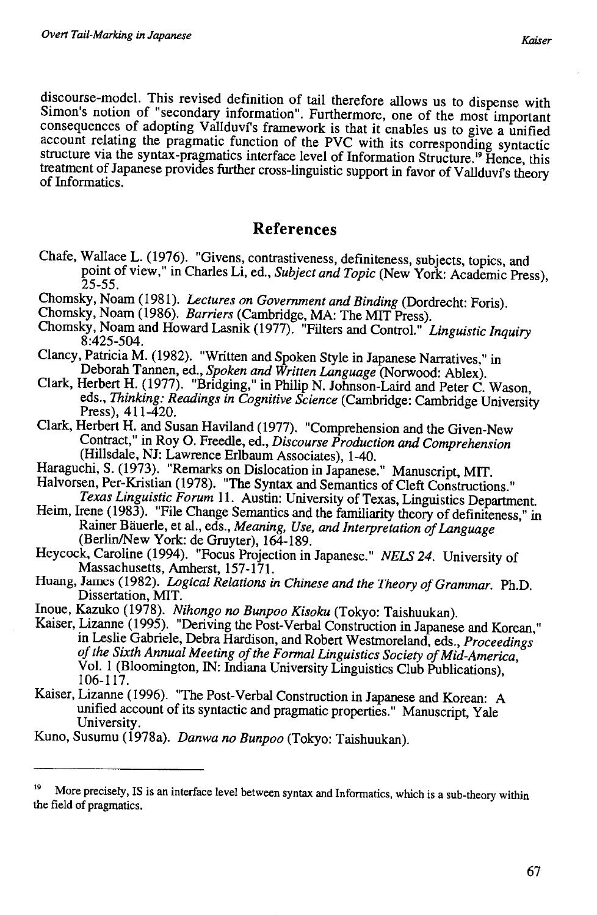discourse-model. This revised definition of tail therefore allows us to dispense with Simon's notion of "secondary information". Furthermore, one of the most important consequences of adopting Vallduvf's framework is that it enables us to give a unified account relating the pragmatic function of the PVC with its corresponding syntactic structure via the syntax-pragmatics interface level of Information Structure.<sup>19</sup> Hence, this treatment of Japanese provides further cross-linguistic support in favor of Vallduví's theory of Informatics.

#### **References**

- Chafe, Wallace L. (1976). "Givens, contrastiveness, definiteness, subjects, topics, and point of view," in Charles Li, ed., *Subject and Topic* (New York: Academic Press), 25-55.
- Chomsky, Noam (1981). *Lectures on Government and Binding* (Dordrecht: Foris).
- Chomsky, Noam (1986). *Barriers* (Cambridge, MA: The MIT Press).
- Chomsky, Noam and Howard Lasnik (1977). "Filters and Control." *Linguistic Inquiry*  8:425-504.
- Clancy, Patricia M. (1982). "Written and Spoken Style in Japanese Narratives," in Deborah Tannen, ed., *Spoken and Written Language* (Norwood: Ablex).
- Clark, Herbert H. (1977). "Bridging," in Philip N. Johnson-Laird and Peter C. Wason, eds., *Thinking: Readings in Cognitive Science* (Cambridge: Cambridge University Press), 411-420.
- Clark, Herbert H. and Susan Haviland (1977). "Comprehension and the Given-New Contract," in Roy 0. Freedle, ed., *Discourse Production* and *Comprehension*  (Hillsdale, NJ: Lawrence Erlbaum Associates), 1-40.
- Haraguchi, S. (1973). "Remarks on Dislocation in Japanese." Manuscript, MIT. Halvorsen, Per-Kristian ( 1978). "The Syntax and Semantics of Cleft Constructions."
- *Texas Linguistic Forum* II. Austin: University of Texas, Linguistics Department. Heim, Irene (1983). "File Change Semantics and the familiarity theory of definiteness," in
- Rainer Bauerle, et al., eds., *Meaning, Use, and Interpretation of Language*  (Berlin/New York: de Gruyter), 164-189.
- Heycock, Caroline (1994). "Focus Projection in Japanese." *NELS 24.* University of Massachusetts, Amherst, 157-171.
- Huang, James (1982). *Logical Relations in Chinese and the Theory of Grammar.* Ph.D. Dissertation, MIT.
- Inoue, Kazuko (1978). *Nihongo no Bunpoo Kisoku* (Tokyo: Taishuukan).
- Kaiser, Lizanne (1995). "Deriving the Post-Verbal Construction in Japanese and Korean," in Leslie Gabriele, Debra Hardison, and Robert Westmoreland, eds., *Proceedings of the Sixth Annual Meeting of the Formal Linguistics Society of Mid-America,*  Vol. 1 (Bloomington, IN: Indiana University Linguistics Club Publications), 106-117.
- Kaiser, Lizanne (1996). "The Post-Verbal Construction in Japanese and Korean: A unified account of its syntactic and pragmatic properties." Manuscript, Yale University.
- Kuno, Susumu (1978a). *Danwa no Bunpoo* (Tokyo: Taishuukan).

<sup>&</sup>lt;sup>19</sup> More precisely, IS is an interface level between syntax and Informatics, which is a sub-theory within the field of pragmatics.